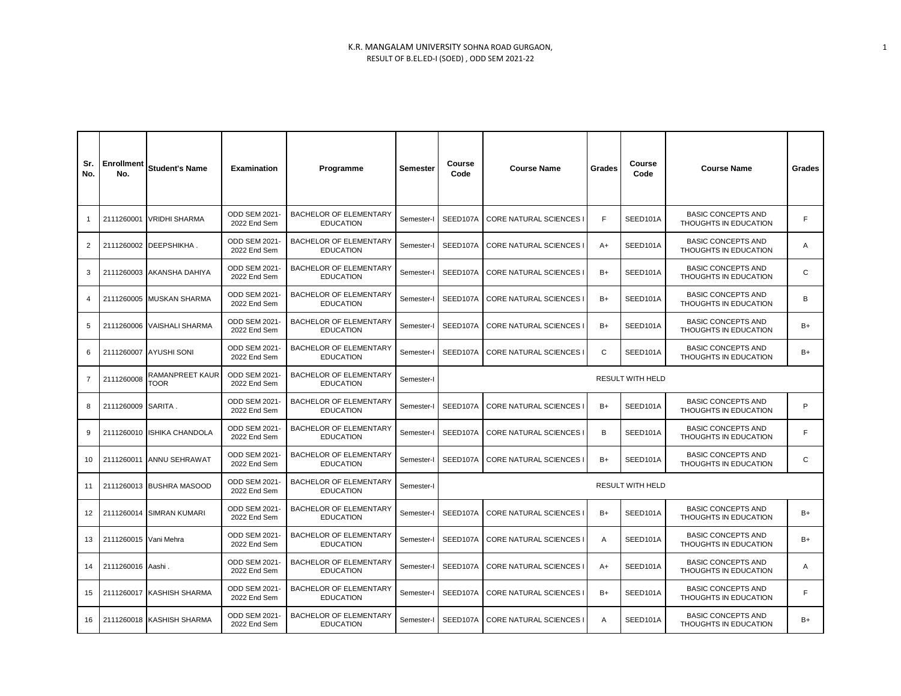| Sr.<br>No.     | Enrollment<br>No.     | Student's Name                 | <b>Examination</b>                  | Programme                                         | Semester   | Course<br>Code | <b>Course Name</b>             | Grades         | Course<br>Code | <b>Course Name</b>                                 | Grades |  |  |
|----------------|-----------------------|--------------------------------|-------------------------------------|---------------------------------------------------|------------|----------------|--------------------------------|----------------|----------------|----------------------------------------------------|--------|--|--|
|                |                       | 2111260001 VRIDHI SHARMA       | ODD SEM 2021<br>2022 End Sem        | <b>BACHELOR OF ELEMENTARY</b><br><b>EDUCATION</b> | Semester-I | SEED107A       | <b>CORE NATURAL SCIENCES I</b> | F.             | SEED101A       | <b>BASIC CONCEPTS AND</b><br>THOUGHTS IN EDUCATION | F      |  |  |
| $\overline{2}$ |                       | 2111260002 DEEPSHIKHA.         | ODD SEM 2021<br>2022 End Sem        | <b>BACHELOR OF ELEMENTARY</b><br><b>EDUCATION</b> | Semester-I | SEED107A       | <b>CORE NATURAL SCIENCES I</b> | $A+$           | SEED101A       | <b>BASIC CONCEPTS AND</b><br>THOUGHTS IN EDUCATION | Α      |  |  |
| 3              |                       | 2111260003 AKANSHA DAHIYA      | ODD SEM 2021<br>2022 End Sem        | <b>BACHELOR OF ELEMENTARY</b><br><b>EDUCATION</b> | Semester-I | SEED107A       | <b>CORE NATURAL SCIENCES I</b> | B+             | SEED101A       | <b>BASIC CONCEPTS AND</b><br>THOUGHTS IN EDUCATION | C      |  |  |
| 4              |                       | 2111260005 MUSKAN SHARMA       | <b>ODD SEM 2021</b><br>2022 End Sem | BACHELOR OF ELEMENTARY<br><b>EDUCATION</b>        | Semester-I | SEED107A       | <b>CORE NATURAL SCIENCES I</b> | B+             | SEED101A       | <b>BASIC CONCEPTS AND</b><br>THOUGHTS IN EDUCATION | В      |  |  |
| 5              |                       | 2111260006 VAISHALI SHARMA     | <b>ODD SEM 2021</b><br>2022 End Sem | <b>BACHELOR OF ELEMENTARY</b><br><b>EDUCATION</b> | Semester-I | SEED107A       | <b>CORE NATURAL SCIENCES I</b> | B+             | SEED101A       | <b>BASIC CONCEPTS AND</b><br>THOUGHTS IN EDUCATION | B+     |  |  |
| 6              |                       | 2111260007 AYUSHI SONI         | ODD SEM 2021<br>2022 End Sem        | BACHELOR OF ELEMENTARY<br><b>EDUCATION</b>        | Semester-I | SEED107A       | <b>CORE NATURAL SCIENCES I</b> | C<br>SEED101A  |                | <b>BASIC CONCEPTS AND</b><br>THOUGHTS IN EDUCATION | B+     |  |  |
| $\overline{7}$ | 2111260008            | RAMANPREET KAUR<br><b>TOOR</b> | <b>ODD SEM 2021</b><br>2022 End Sem | BACHELOR OF ELEMENTARY<br><b>EDUCATION</b>        | Semester-I |                | RESULT WITH HELD               |                |                |                                                    |        |  |  |
| 8              | 2111260009 SARITA.    |                                | <b>ODD SEM 2021</b><br>2022 End Sem | <b>BACHELOR OF ELEMENTARY</b><br><b>EDUCATION</b> | Semester-I | SEED107A       | <b>CORE NATURAL SCIENCES I</b> | B+             | SEED101A       | <b>BASIC CONCEPTS AND</b><br>THOUGHTS IN EDUCATION | P      |  |  |
| 9              |                       | 2111260010 ISHIKA CHANDOLA     | ODD SEM 2021<br>2022 End Sem        | <b>BACHELOR OF ELEMENTARY</b><br><b>EDUCATION</b> | Semester-I | SEED107A       | <b>CORE NATURAL SCIENCES I</b> | B              | SEED101A       | <b>BASIC CONCEPTS AND</b><br>THOUGHTS IN EDUCATION | F      |  |  |
| 10             |                       | 2111260011 ANNU SEHRAWAT       | ODD SEM 2021<br>2022 End Sem        | <b>BACHELOR OF ELEMENTARY</b><br><b>EDUCATION</b> | Semester-I | SEED107A       | <b>CORE NATURAL SCIENCES I</b> | SEED101A<br>B+ |                | <b>BASIC CONCEPTS AND</b><br>THOUGHTS IN EDUCATION | C      |  |  |
| 11             |                       | 2111260013 BUSHRA MASOOD       | <b>ODD SEM 2021</b><br>2022 End Sem | <b>BACHELOR OF ELEMENTARY</b><br><b>EDUCATION</b> | Semester-I |                | RESULT WITH HELD               |                |                |                                                    |        |  |  |
| 12             |                       | 2111260014 SIMRAN KUMARI       | <b>ODD SEM 2021</b><br>2022 End Sem | <b>BACHELOR OF ELEMENTARY</b><br><b>EDUCATION</b> | Semester-I | SEED107A       | <b>CORE NATURAL SCIENCES I</b> | $B+$           | SEED101A       | <b>BASIC CONCEPTS AND</b><br>THOUGHTS IN EDUCATION | B+     |  |  |
| 13             | 2111260015 Vani Mehra |                                | <b>ODD SEM 2021</b><br>2022 End Sem | <b>BACHELOR OF ELEMENTARY</b><br><b>EDUCATION</b> | Semester-I | SEED107A       | <b>CORE NATURAL SCIENCES I</b> | Α              | SEED101A       | <b>BASIC CONCEPTS AND</b><br>THOUGHTS IN EDUCATION | B+     |  |  |
| 14             | 2111260016 Aashi.     |                                | <b>ODD SEM 2021</b><br>2022 End Sem | <b>BACHELOR OF ELEMENTARY</b><br><b>EDUCATION</b> | Semester-I | SEED107A       | <b>CORE NATURAL SCIENCES I</b> | A+             | SEED101A       | <b>BASIC CONCEPTS AND</b><br>THOUGHTS IN EDUCATION | Α      |  |  |
| 15             |                       | 2111260017 KASHISH SHARMA      | <b>ODD SEM 2021</b><br>2022 End Sem | BACHELOR OF ELEMENTARY<br><b>EDUCATION</b>        | Semester-I | SEED107A       | <b>CORE NATURAL SCIENCES I</b> |                | SEED101A       | <b>BASIC CONCEPTS AND</b><br>THOUGHTS IN EDUCATION | F      |  |  |
| 16             |                       | 2111260018 KASHISH SHARMA      | ODD SEM 2021<br>2022 End Sem        | <b>BACHELOR OF ELEMENTARY</b><br><b>EDUCATION</b> | Semester-I | SEED107A       | <b>CORE NATURAL SCIENCES I</b> |                | SEED101A       | <b>BASIC CONCEPTS AND</b><br>THOUGHTS IN EDUCATION | B+     |  |  |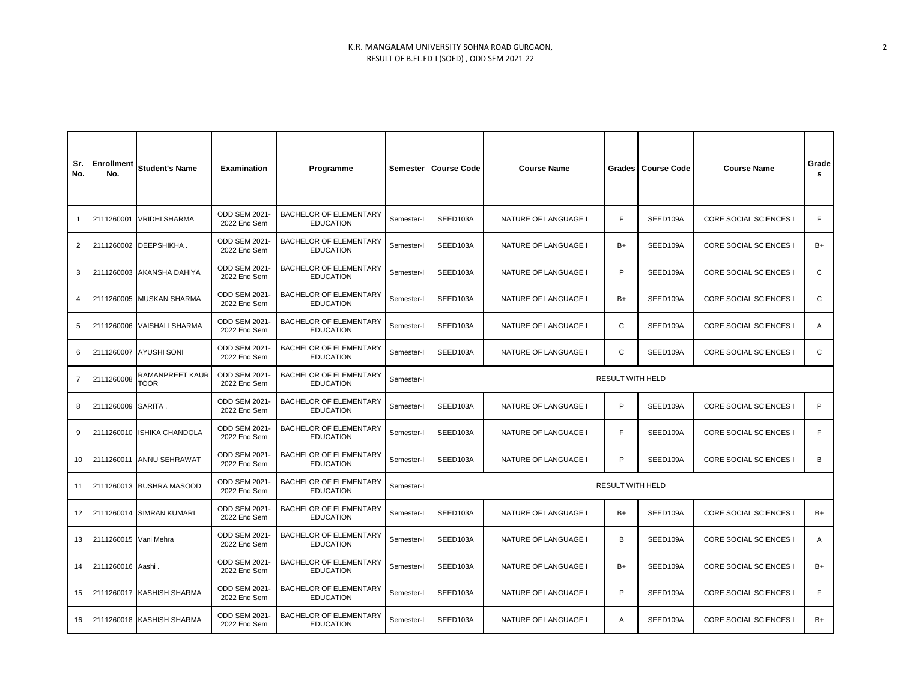| Sr.<br>No.        | Enrollment<br>No.     | <b>Student's Name</b>                 | <b>Examination</b>                   | Programme                                         | Semester   | <b>Course Code</b>               | <b>Course Name</b>          | Grades | <b>Course Code</b> | <b>Course Name</b>     | Grade<br>s |
|-------------------|-----------------------|---------------------------------------|--------------------------------------|---------------------------------------------------|------------|----------------------------------|-----------------------------|--------|--------------------|------------------------|------------|
|                   | 2111260001            | <b>VRIDHI SHARMA</b>                  | <b>ODD SEM 2021-</b><br>2022 End Sem | BACHELOR OF ELEMENTARY<br><b>EDUCATION</b>        | Semester-I | SEED103A                         | NATURE OF LANGUAGE I        | F      | SEED109A           | CORE SOCIAL SCIENCES I | F          |
| 2                 | 2111260002            | DEEPSHIKHA.                           | ODD SEM 2021-<br>2022 End Sem        | BACHELOR OF ELEMENTARY<br><b>EDUCATION</b>        | Semester-I | SEED103A                         | NATURE OF LANGUAGE I        | B+     | SEED109A           | CORE SOCIAL SCIENCES I | B+         |
| 3                 | 2111260003            | <b>AKANSHA DAHIYA</b>                 | ODD SEM 2021-<br>2022 End Sem        | BACHELOR OF ELEMENTARY<br><b>EDUCATION</b>        | Semester-I | SEED103A<br>NATURE OF LANGUAGE I |                             |        | SEED109A           | CORE SOCIAL SCIENCES I | C          |
| 4                 | 2111260005            | <b>MUSKAN SHARMA</b>                  | <b>ODD SEM 2021-</b><br>2022 End Sem | BACHELOR OF ELEMENTARY<br><b>EDUCATION</b>        | Semester-I | SEED103A                         | NATURE OF LANGUAGE I        |        | SEED109A           | CORE SOCIAL SCIENCES I | C          |
| 5                 | 2111260006            | <b>VAISHALI SHARMA</b>                | ODD SEM 2021-<br>2022 End Sem        | BACHELOR OF ELEMENTARY<br><b>EDUCATION</b>        | Semester-I | SEED103A                         | NATURE OF LANGUAGE I        |        | SEED109A           | CORE SOCIAL SCIENCES I | Α          |
| 6                 | 2111260007            | <b>AYUSHI SONI</b>                    | ODD SEM 2021-<br>2022 End Sem        | BACHELOR OF ELEMENTARY<br><b>EDUCATION</b>        | Semester-I | SEED103A                         | NATURE OF LANGUAGE I        |        | SEED109A           | CORE SOCIAL SCIENCES I | C          |
| $\overline{7}$    | 2111260008            | <b>RAMANPREET KAUR</b><br><b>TOOR</b> | ODD SEM 2021-<br>2022 End Sem        | BACHELOR OF ELEMENTARY<br><b>EDUCATION</b>        | Semester-I | <b>RESULT WITH HELD</b>          |                             |        |                    |                        |            |
| 8                 | 2111260009            | SARITA.                               | <b>ODD SEM 2021-</b><br>2022 End Sem | BACHELOR OF ELEMENTARY<br><b>EDUCATION</b>        | Semester-I | SEED103A                         | NATURE OF LANGUAGE I        |        | SEED109A           | CORE SOCIAL SCIENCES I | P          |
| 9                 | 2111260010            | <b>ISHIKA CHANDOLA</b>                | ODD SEM 2021-<br>2022 End Sem        | BACHELOR OF ELEMENTARY<br><b>EDUCATION</b>        | Semester-I | SEED103A                         | NATURE OF LANGUAGE I        |        | SEED109A           | CORE SOCIAL SCIENCES I | F          |
| 10                |                       | 2111260011 ANNU SEHRAWAT              | ODD SEM 2021-<br>2022 End Sem        | <b>BACHELOR OF ELEMENTARY</b><br><b>EDUCATION</b> | Semester-I | SEED103A                         | NATURE OF LANGUAGE I        |        | SEED109A           | CORE SOCIAL SCIENCES I | B          |
| 11                |                       | 2111260013 BUSHRA MASOOD              | ODD SEM 2021-<br>2022 End Sem        | BACHELOR OF ELEMENTARY<br><b>EDUCATION</b>        | Semester-I | <b>RESULT WITH HELD</b>          |                             |        |                    |                        |            |
| $12 \overline{ }$ | 2111260014            | <b>SIMRAN KUMARI</b>                  | ODD SEM 2021-<br>2022 End Sem        | BACHELOR OF ELEMENTARY<br><b>EDUCATION</b>        | Semester-I | SEED103A                         | <b>NATURE OF LANGUAGE I</b> | B+     | SEED109A           | CORE SOCIAL SCIENCES I | B+         |
| 13                | 2111260015 Vani Mehra |                                       | ODD SEM 2021-<br>2022 End Sem        | <b>BACHELOR OF ELEMENTARY</b><br><b>EDUCATION</b> | Semester-I | SEED103A                         | NATURE OF LANGUAGE I        |        | SEED109A           | CORE SOCIAL SCIENCES I | A          |
| 14                | 2111260016 Aashi.     |                                       | ODD SEM 2021-<br>2022 End Sem        | BACHELOR OF ELEMENTARY<br><b>EDUCATION</b>        | Semester-I | SEED103A                         | NATURE OF LANGUAGE I        | B+     | SEED109A           | CORE SOCIAL SCIENCES I | B+         |
| 15                | 2111260017            | <b>KASHISH SHARMA</b>                 | ODD SEM 2021-<br>2022 End Sem        | BACHELOR OF ELEMENTARY<br><b>EDUCATION</b>        | Semester-I | SEED103A                         | NATURE OF LANGUAGE I        | P      | SEED109A           | CORE SOCIAL SCIENCES I | F          |
| 16                |                       | 2111260018 KASHISH SHARMA             | ODD SEM 2021-<br>2022 End Sem        | BACHELOR OF ELEMENTARY<br><b>EDUCATION</b>        | Semester-I | SEED103A                         | NATURE OF LANGUAGE I        | A      | SEED109A           | CORE SOCIAL SCIENCES I | B+         |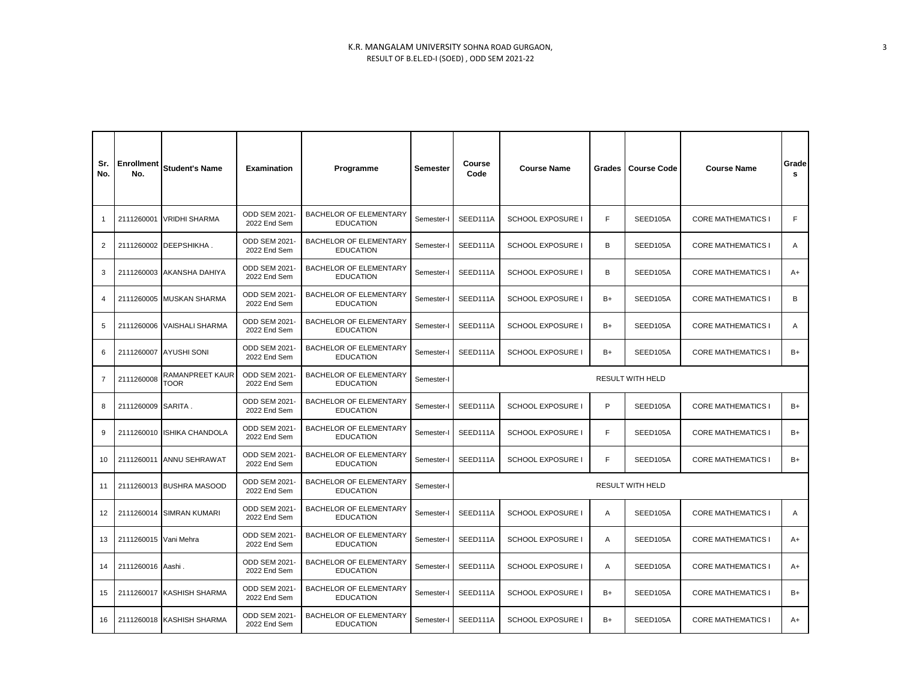| Sr.<br>No.     | <b>Enrollment</b><br>No. | <b>Student's Name</b>          | Examination                          | Programme                                         | Semester   | Course<br><b>Course Name</b><br>Code         |                                  | Grades | <b>Course Code</b><br><b>Course Name</b> |                           | Grade<br>s |
|----------------|--------------------------|--------------------------------|--------------------------------------|---------------------------------------------------|------------|----------------------------------------------|----------------------------------|--------|------------------------------------------|---------------------------|------------|
| $\mathbf{1}$   | 2111260001               | <b>VRIDHI SHARMA</b>           | <b>ODD SEM 2021-</b><br>2022 End Sem | BACHELOR OF ELEMENTARY<br><b>EDUCATION</b>        | Semester-I | SEED111A                                     | <b>SCHOOL EXPOSURE I</b>         | F      | SEED105A                                 | <b>CORE MATHEMATICS I</b> | F          |
| 2              |                          | 2111260002 DEEPSHIKHA.         | ODD SEM 2021<br>2022 End Sem         | BACHELOR OF ELEMENTARY<br><b>EDUCATION</b>        | Semester-I | SEED111A                                     | <b>SCHOOL EXPOSURE I</b>         | B      | SEED105A                                 | <b>CORE MATHEMATICS I</b> | Α          |
| 3              |                          | 2111260003 AKANSHA DAHIYA      | ODD SEM 2021-<br>2022 End Sem        | BACHELOR OF ELEMENTARY<br><b>EDUCATION</b>        | Semester-I | SEED111A                                     | <b>SCHOOL EXPOSURE I</b>         | B      | SEED105A                                 | <b>CORE MATHEMATICS I</b> | A+         |
| $\overline{4}$ |                          | 2111260005 MUSKAN SHARMA       | <b>ODD SEM 2021-</b><br>2022 End Sem | BACHELOR OF ELEMENTARY<br><b>EDUCATION</b>        | Semester-I | SEED111A                                     | <b>SCHOOL EXPOSURE I</b>         |        | SEED105A                                 | <b>CORE MATHEMATICS I</b> | B          |
| 5              |                          | 2111260006 VAISHALI SHARMA     | ODD SEM 2021-<br>2022 End Sem        | BACHELOR OF ELEMENTARY<br><b>EDUCATION</b>        | Semester-I | SEED111A                                     | <b>SCHOOL EXPOSURE I</b>         |        | SEED105A                                 | <b>CORE MATHEMATICS I</b> | Α          |
| 6              | 2111260007               | <b>AYUSHI SONI</b>             | ODD SEM 2021-<br>2022 End Sem        | BACHELOR OF ELEMENTARY<br><b>EDUCATION</b>        | Semester-I | SEED111A                                     | <b>SCHOOL EXPOSURE</b>           | $B+$   | SEED105A                                 | <b>CORE MATHEMATICS I</b> | B+         |
| $\overline{7}$ | 2111260008               | RAMANPREET KAUR<br><b>TOOR</b> | <b>ODD SEM 2021-</b><br>2022 End Sem | BACHELOR OF ELEMENTARY<br><b>EDUCATION</b>        | Semester-I | <b>RESULT WITH HELD</b>                      |                                  |        |                                          |                           |            |
| 8              | 2111260009 SARITA.       |                                | ODD SEM 2021-<br>2022 End Sem        | BACHELOR OF ELEMENTARY<br><b>EDUCATION</b>        | Semester-I | SEED111A                                     | <b>SCHOOL EXPOSURE I</b>         |        | SEED105A                                 | <b>CORE MATHEMATICS I</b> | B+         |
| 9              |                          | 2111260010 ISHIKA CHANDOLA     | ODD SEM 2021-<br>2022 End Sem        | BACHELOR OF ELEMENTARY<br><b>EDUCATION</b>        | Semester-I | SEED111A                                     | <b>SCHOOL EXPOSURE I</b>         |        | SEED105A                                 | <b>CORE MATHEMATICS I</b> | B+         |
| 10             | 2111260011               | <b>ANNU SEHRAWAT</b>           | <b>ODD SEM 2021-</b><br>2022 End Sem | BACHELOR OF ELEMENTARY<br><b>EDUCATION</b>        | Semester-I | SEED111A                                     | <b>SCHOOL EXPOSURE I</b>         |        | SEED105A                                 | <b>CORE MATHEMATICS I</b> | B+         |
| 11             |                          | 2111260013 BUSHRA MASOOD       | ODD SEM 2021-<br>2022 End Sem        | BACHELOR OF ELEMENTARY<br><b>EDUCATION</b>        | Semester-I | RESULT WITH HELD                             |                                  |        |                                          |                           |            |
| 12             |                          | 2111260014 SIMRAN KUMARI       | ODD SEM 2021-<br>2022 End Sem        | BACHELOR OF ELEMENTARY<br><b>EDUCATION</b>        | Semester-I | SEED111A                                     | <b>SCHOOL EXPOSURE I</b>         |        | SEED105A                                 | <b>CORE MATHEMATICS I</b> | A          |
| 13             | 2111260015 Vani Mehra    |                                | <b>ODD SEM 2021-</b><br>2022 End Sem | BACHELOR OF ELEMENTARY<br><b>EDUCATION</b>        | Semester-I | SEED111A<br><b>SCHOOL EXPOSURE I</b>         |                                  | A      | SEED105A                                 | <b>CORE MATHEMATICS I</b> | A+         |
| 14             | 2111260016 Aashi.        |                                | ODD SEM 2021<br>2022 End Sem         | BACHELOR OF ELEMENTARY<br><b>EDUCATION</b>        | Semester-I | SEED111A                                     | <b>SCHOOL EXPOSURE I</b>         | A      | SEED105A                                 | <b>CORE MATHEMATICS I</b> | A+         |
| 15             |                          | 2111260017 KASHISH SHARMA      | ODD SEM 2021<br>2022 End Sem         | BACHELOR OF ELEMENTARY<br><b>EDUCATION</b>        | Semester-I | SEED111A                                     | <b>SCHOOL EXPOSURE I</b><br>$B+$ |        | SEED105A                                 | <b>CORE MATHEMATICS I</b> | B+         |
| 16             |                          | 2111260018 KASHISH SHARMA      | <b>ODD SEM 2021-</b><br>2022 End Sem | <b>BACHELOR OF ELEMENTARY</b><br><b>EDUCATION</b> | Semester-I | SEED111A<br><b>SCHOOL EXPOSURE I</b><br>$B+$ |                                  |        | SEED105A                                 | <b>CORE MATHEMATICS I</b> | $A+$       |